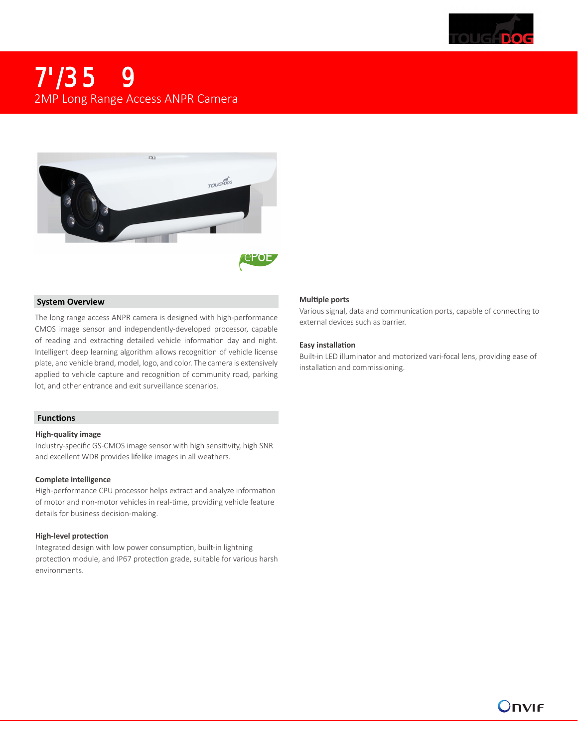

## 2MP Long Range Access ANPR Camera



#### **System Overview**

The long range access ANPR camera is designed with high-performance CMOS image sensor and independently-developed processor, capable of reading and extracting detailed vehicle information day and night. Intelligent deep learning algorithm allows recognition of vehicle license plate, and vehicle brand, model, logo, and color. The camera is extensively applied to vehicle capture and recognition of community road, parking lot, and other entrance and exit surveillance scenarios.

#### **Functions**

#### **High-quality image**

Industry-specific GS-CMOS image sensor with high sensitivity, high SNR and excellent WDR provides lifelike images in all weathers.

#### **Complete intelligence**

High-performance CPU processor helps extract and analyze information of motor and non-motor vehicles in real-time, providing vehicle feature details for business decision-making.

#### **High-level protection**

Integrated design with low power consumption, built-in lightning protection module, and IP67 protection grade, suitable for various harsh environments.

#### **Multiple ports**

Various signal, data and communication ports, capable of connecting to external devices such as barrier.

#### **Easy installation**

Built-in LED illuminator and motorized vari-focal lens, providing ease of installation and commissioning.

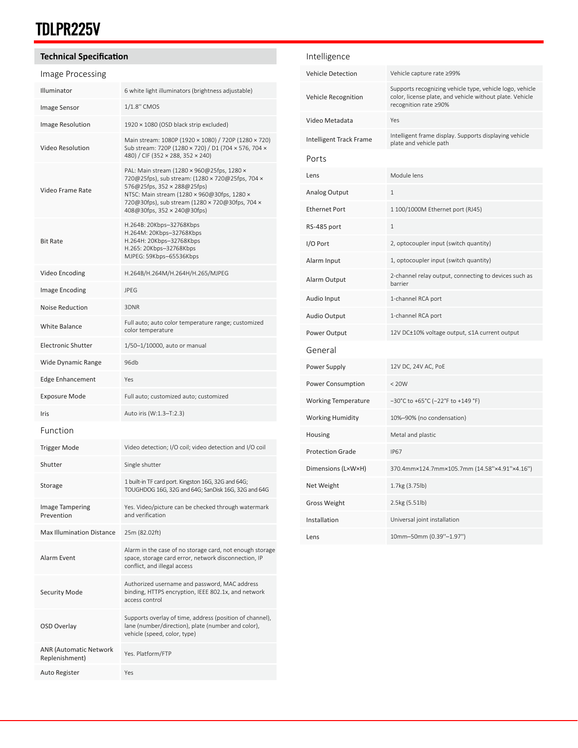# TDLPR225V

OSD Overlay

ANR (Automatic Network

Auto Register Yes

ANR (Automatic Network<br>Replenishment) Yes. Platform/FTP

Supports overlay of time, address (position of channel), lane (number/direction), plate (number and color),

vehicle (speed, color, type)

| <b>Technical Specification</b>   |                                                                                                                                                                                                                                                                | Intelligence               |                                                                                                                      |  |
|----------------------------------|----------------------------------------------------------------------------------------------------------------------------------------------------------------------------------------------------------------------------------------------------------------|----------------------------|----------------------------------------------------------------------------------------------------------------------|--|
| Image Processing                 |                                                                                                                                                                                                                                                                | <b>Vehicle Detection</b>   | Vehicle capture rate ≥99%                                                                                            |  |
| Illuminator                      | 6 white light illuminators (brightness adjustable)                                                                                                                                                                                                             | Vehicle Recognition        | Supports recognizing vehicle type, vehicle logo, vehicle<br>color, license plate, and vehicle without plate. Vehicle |  |
| Image Sensor                     | 1/1.8" CMOS                                                                                                                                                                                                                                                    |                            | recognition rate ≥90%                                                                                                |  |
| Image Resolution                 | 1920 × 1080 (OSD black strip excluded)                                                                                                                                                                                                                         | Video Metadata             | Yes                                                                                                                  |  |
| <b>Video Resolution</b>          | Main stream: 1080P (1920 × 1080) / 720P (1280 × 720)<br>Sub stream: 720P (1280 × 720) / D1 (704 × 576, 704 ×<br>480) / CIF (352 × 288, 352 × 240)                                                                                                              | Intelligent Track Frame    | Intelligent frame display. Supports displaying vehicle<br>plate and vehicle path                                     |  |
| Video Frame Rate                 | PAL: Main stream (1280 × 960@25fps, 1280 ×<br>720@25fps), sub stream: (1280 × 720@25fps, 704 ×<br>576@25fps, 352 × 288@25fps)<br>NTSC: Main stream (1280 × 960@30fps, 1280 ×<br>720@30fps), sub stream (1280 × 720@30fps, 704 ×<br>408@30fps, 352 × 240@30fps) | Ports                      |                                                                                                                      |  |
|                                  |                                                                                                                                                                                                                                                                | Lens                       | Module lens                                                                                                          |  |
|                                  |                                                                                                                                                                                                                                                                | Analog Output              | $\mathbf{1}$                                                                                                         |  |
|                                  |                                                                                                                                                                                                                                                                | <b>Ethernet Port</b>       | 1 100/1000M Ethernet port (RJ45)                                                                                     |  |
| <b>Bit Rate</b>                  | H.264B: 20Kbps-32768Kbps<br>H.264M: 20Kbps-32768Kbps<br>H.264H: 20Kbps-32768Kbps<br>H.265: 20Kbps-32768Kbps<br>MJPEG: 59Kbps-65536Kbps                                                                                                                         | RS-485 port                | $\mathbf{1}$                                                                                                         |  |
|                                  |                                                                                                                                                                                                                                                                | I/O Port                   | 2, optocoupler input (switch quantity)                                                                               |  |
|                                  |                                                                                                                                                                                                                                                                | Alarm Input                | 1, optocoupler input (switch quantity)                                                                               |  |
| Video Encoding                   | H.264B/H.264M/H.264H/H.265/MJPEG                                                                                                                                                                                                                               | Alarm Output               | 2-channel relay output, connecting to devices such as<br>barrier                                                     |  |
| Image Encoding                   | <b>JPEG</b>                                                                                                                                                                                                                                                    | Audio Input                | 1-channel RCA port                                                                                                   |  |
| <b>Noise Reduction</b>           | 3DNR                                                                                                                                                                                                                                                           | Audio Output               | 1-channel RCA port                                                                                                   |  |
| White Balance                    | Full auto; auto color temperature range; customized<br>color temperature                                                                                                                                                                                       | Power Output               | 12V DC±10% voltage output, ≤1A current output                                                                        |  |
| <b>Electronic Shutter</b>        | 1/50-1/10000, auto or manual                                                                                                                                                                                                                                   | General                    |                                                                                                                      |  |
| Wide Dynamic Range               | 96db                                                                                                                                                                                                                                                           | Power Supply               | 12V DC, 24V AC, PoE                                                                                                  |  |
| <b>Edge Enhancement</b>          | Yes                                                                                                                                                                                                                                                            | Power Consumption          | < 20W                                                                                                                |  |
| <b>Exposure Mode</b>             | Full auto; customized auto; customized                                                                                                                                                                                                                         | <b>Working Temperature</b> | $-30^{\circ}$ C to +65°C (-22°F to +149 °F)                                                                          |  |
| Iris                             | Auto iris (W:1.3-T:2.3)                                                                                                                                                                                                                                        | <b>Working Humidity</b>    | 10%-90% (no condensation)                                                                                            |  |
| Function                         |                                                                                                                                                                                                                                                                | Housing                    | Metal and plastic                                                                                                    |  |
| <b>Trigger Mode</b>              | Video detection; I/O coil; video detection and I/O coil                                                                                                                                                                                                        | <b>Protection Grade</b>    | <b>IP67</b>                                                                                                          |  |
| Shutter                          | Single shutter                                                                                                                                                                                                                                                 | Dimensions (L×W×H)         | 370.4mm×124.7mm×105.7mm (14.58"×4.91"×4.16")                                                                         |  |
| Storage                          | 1 built-in TF card port. Kingston 16G, 32G and 64G;<br>TOUGHDOG 16G, 32G and 64G; SanDisk 16G, 32G and 64G                                                                                                                                                     | Net Weight                 | 1.7kg (3.75lb)                                                                                                       |  |
| <b>Image Tampering</b>           | Yes. Video/picture can be checked through watermark                                                                                                                                                                                                            | <b>Gross Weight</b>        | 2.5kg (5.51lb)                                                                                                       |  |
| Prevention                       | and verification                                                                                                                                                                                                                                               | Installation               | Universal joint installation                                                                                         |  |
| <b>Max Illumination Distance</b> | 25m (82.02ft)                                                                                                                                                                                                                                                  | Lens                       | 10mm-50mm (0.39"-1.97")                                                                                              |  |
| Alarm Event                      | Alarm in the case of no storage card, not enough storage<br>space, storage card error, network disconnection, IP<br>conflict, and illegal access                                                                                                               |                            |                                                                                                                      |  |
| <b>Security Mode</b>             | Authorized username and password, MAC address<br>binding, HTTPS encryption, IEEE 802.1x, and network<br>access control                                                                                                                                         |                            |                                                                                                                      |  |